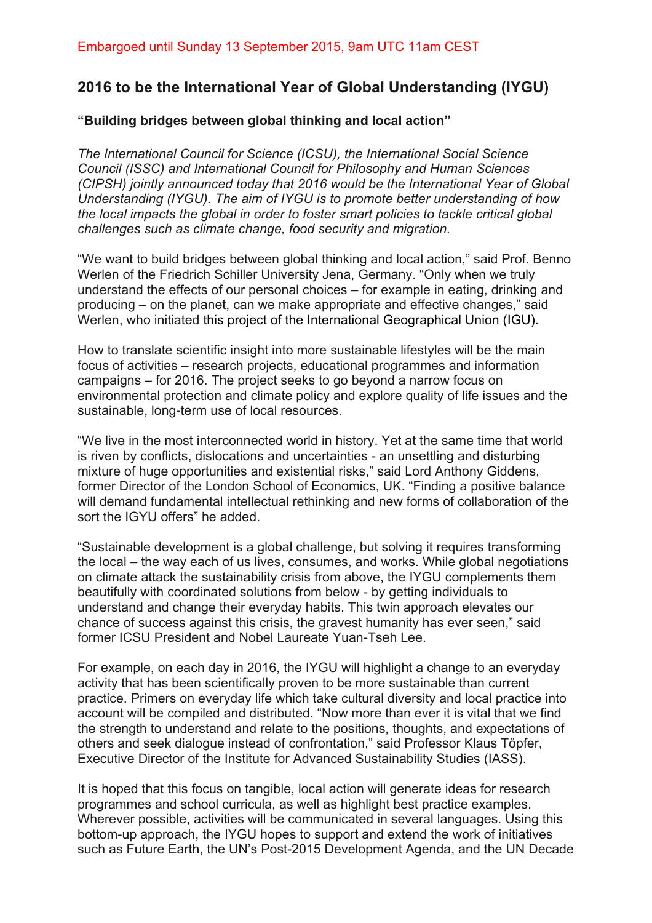## **2016 to be the International Year of Global Understanding (IYGU)**

## **"Building bridges between global thinking and local action"**

*The International Council for Science (ICSU), the International Social Science Council (ISSC) and International Council for Philosophy and Human Sciences (CIPSH) jointly announced today that 2016 would be the International Year of Global Understanding (IYGU). The aim of IYGU is to promote better understanding of how the local impacts the global in order to foster smart policies to tackle critical global challenges such as climate change, food security and migration.*

"We want to build bridges between global thinking and local action," said Prof. Benno Werlen of the Friedrich Schiller University Jena, Germany. "Only when we truly understand the effects of our personal choices – for example in eating, drinking and producing – on the planet, can we make appropriate and effective changes," said Werlen, who initiated this project of the International Geographical Union (IGU).

How to translate scientific insight into more sustainable lifestyles will be the main focus of activities – research projects, educational programmes and information campaigns – for 2016. The project seeks to go beyond a narrow focus on environmental protection and climate policy and explore quality of life issues and the sustainable, long-term use of local resources.

"We live in the most interconnected world in history. Yet at the same time that world is riven by conflicts, dislocations and uncertainties - an unsettling and disturbing mixture of huge opportunities and existential risks," said Lord Anthony Giddens, former Director of the London School of Economics, UK. "Finding a positive balance will demand fundamental intellectual rethinking and new forms of collaboration of the sort the IGYU offers" he added.

"Sustainable development is a global challenge, but solving it requires transforming the local – the way each of us lives, consumes, and works. While global negotiations on climate attack the sustainability crisis from above, the IYGU complements them beautifully with coordinated solutions from below - by getting individuals to understand and change their everyday habits. This twin approach elevates our chance of success against this crisis, the gravest humanity has ever seen," said former ICSU President and Nobel Laureate Yuan-Tseh Lee.

For example, on each day in 2016, the IYGU will highlight a change to an everyday activity that has been scientifically proven to be more sustainable than current practice. Primers on everyday life which take cultural diversity and local practice into account will be compiled and distributed. "Now more than ever it is vital that we find the strength to understand and relate to the positions, thoughts, and expectations of others and seek dialogue instead of confrontation," said Professor Klaus Töpfer, Executive Director of the Institute for Advanced Sustainability Studies (IASS).

It is hoped that this focus on tangible, local action will generate ideas for research programmes and school curricula, as well as highlight best practice examples. Wherever possible, activities will be communicated in several languages. Using this bottom-up approach, the IYGU hopes to support and extend the work of initiatives such as Future Earth, the UN's Post-2015 Development Agenda, and the UN Decade